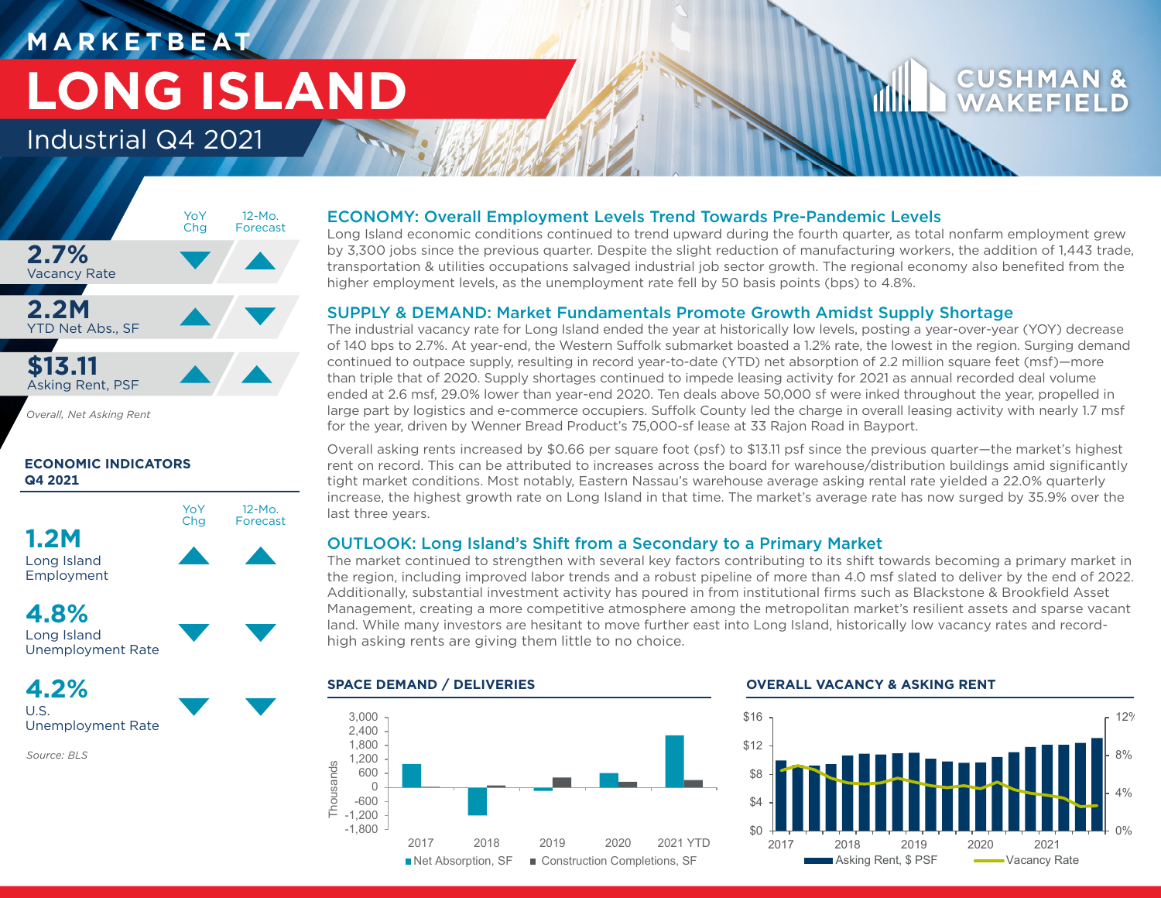# **M A R K E T B E AT LONG ISLAND**

## Industrial Q4 2021



*Overall, Net Asking Rent*

### **ECONOMIC INDICATORS Q4 2021**



**4.8%**



**4.2%** U.S. Unemployment Rate

*Source: BLS*

### ECONOMY: Overall Employment Levels Trend Towards Pre-Pandemic Levels

Long Island economic conditions continued to trend upward during the fourth quarter, as total nonfarm employment grew by 3,300 jobs since the previous quarter. Despite the slight reduction of manufacturing workers, the addition of 1,443 trade, transportation & utilities occupations salvaged industrial job sector growth. The regional economy also benefited from the higher employment levels, as the unemployment rate fell by 50 basis points (bps) to 4.8%.

### SUPPLY & DEMAND: Market Fundamentals Promote Growth Amidst Supply Shortage

The industrial vacancy rate for Long Island ended the year at historically low levels, posting a year-over-year (YOY) decrease of 140 bps to 2.7%. At year-end, the Western Suffolk submarket boasted a 1.2% rate, the lowest in the region. Surging demand continued to outpace supply, resulting in record year-to-date (YTD) net absorption of 2.2 million square feet (msf)—more than triple that of 2020. Supply shortages continued to impede leasing activity for 2021 as annual recorded deal volume ended at 2.6 msf, 29.0% lower than year-end 2020. Ten deals above 50,000 sf were inked throughout the year, propelled in large part by logistics and e-commerce occupiers. Suffolk County led the charge in overall leasing activity with nearly 1.7 msf for the year, driven by Wenner Bread Product's 75,000-sf lease at 33 Rajon Road in Bayport.

Overall asking rents increased by \$0.66 per square foot (psf) to \$13.11 psf since the previous quarter—the market's highest rent on record. This can be attributed to increases across the board for warehouse/distribution buildings amid significantly tight market conditions. Most notably, Eastern Nassau's warehouse average asking rental rate yielded a 22.0% quarterly increase, the highest growth rate on Long Island in that time. The market's average rate has now surged by 35.9% over the last three years.

### OUTLOOK: Long Island's Shift from a Secondary to a Primary Market

The market continued to strengthen with several key factors contributing to its shift towards becoming a primary market in the region, including improved labor trends and a robust pipeline of more than 4.0 msf slated to deliver by the end of 2022. Additionally, substantial investment activity has poured in from institutional firms such as Blackstone & Brookfield Asset Management, creating a more competitive atmosphere among the metropolitan market's resilient assets and sparse vacant land. While many investors are hesitant to move further east into Long Island, historically low vacancy rates and recordhigh asking rents are giving them little to no choice.



### **SPACE DEMAND / DELIVERIES OVERALL VACANCY & ASKING RENT**



WAKFF